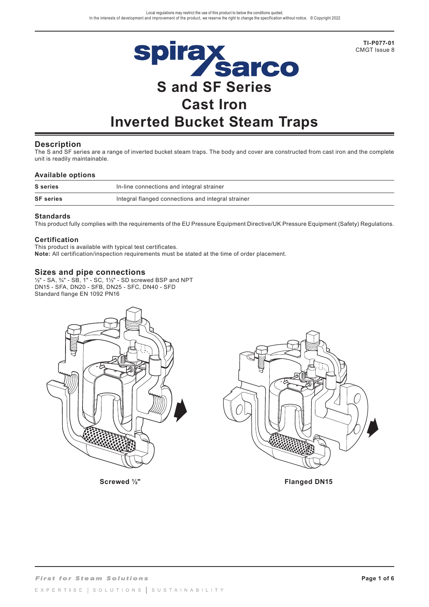

**Description**

The S and SF series are a range of inverted bucket steam traps. The body and cover are constructed from cast iron and the complete unit is readily maintainable.

#### **Available options**

| <b>S</b> series  | In-line connections and integral strainer          |
|------------------|----------------------------------------------------|
| <b>SF</b> series | Integral flanged connections and integral strainer |

#### **Standards**

This product fully complies with the requirements of the EU Pressure Equipment Directive/UK Pressure Equipment (Safety) Regulations.

#### **Certification**

This product is available with typical test certificates. **Note:** All certification/inspection requirements must be stated at the time of order placement.

## **Sizes and pipe connections**

½" - SA, ¾" - SB, 1" - SC, 1½" - SD screwed BSP and NPT DN15 - SFA, DN20 - SFB, DN25 - SFC, DN40 - SFD Standard flange EN 1092 PN16





Screwed <sup>1/2</sup>" and 12<sup>9</sup> and 12<sup>9</sup> and 12<sup>9</sup> and 12<sup>9</sup> and 12<sup>9</sup> and 12<sup>9</sup> and 12<sup>9</sup> and 12<sup>9</sup> and 12<sup>9</sup> and 12<sup>9</sup>

**TI-P077-01** CMGT Issue 8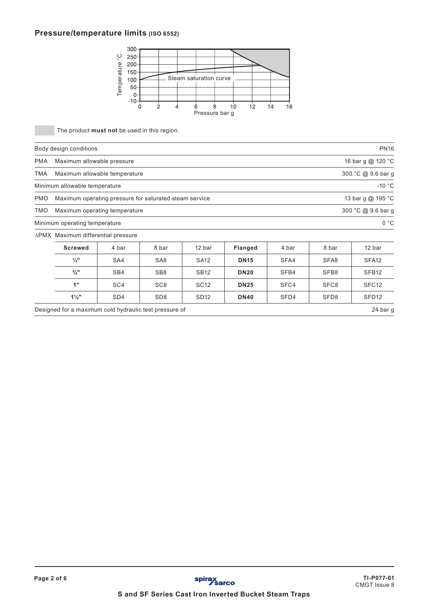## **Pressure/temperature limits (ISO 6552)**



|            |                                                        | ပ္<br>250<br>Temperature<br>$200 -$<br>$150 -$<br>100<br>50<br>$\mathbf{0}$<br>$-10-$ | $\overline{2}$<br>4<br>U | Steam saturation curve<br>$\overline{8}$<br>6<br>Pressure bar g | 12<br>10       | 14<br>16 |                  |                    |
|------------|--------------------------------------------------------|---------------------------------------------------------------------------------------|--------------------------|-----------------------------------------------------------------|----------------|----------|------------------|--------------------|
|            | The product must not be used in this region.           |                                                                                       |                          |                                                                 |                |          |                  |                    |
|            | Body design conditions                                 |                                                                                       |                          |                                                                 |                |          |                  | <b>PN16</b>        |
| <b>PMA</b> | Maximum allowable pressure                             |                                                                                       |                          |                                                                 |                |          |                  | 16 bar g @ 120 °C  |
| <b>TMA</b> | Maximum allowable temperature                          |                                                                                       |                          |                                                                 |                |          |                  | 300 °C @ 9.6 bar g |
|            | Minimum allowable temperature                          |                                                                                       |                          |                                                                 |                |          |                  | $-10$ °C           |
| <b>PMO</b> | Maximum operating pressure for saturated steam service |                                                                                       |                          |                                                                 |                |          |                  | 13 bar g @ 195 °C  |
| <b>TMO</b> | Maximum operating temperature                          |                                                                                       |                          |                                                                 |                |          |                  | 300 °C @ 9.6 bar g |
|            | Minimum operating temperature                          |                                                                                       |                          |                                                                 |                |          |                  | 0 °C               |
|            | ∆PMX Maximum differential pressure                     |                                                                                       |                          |                                                                 |                |          |                  |                    |
|            | <b>Screwed</b>                                         | 4 bar                                                                                 | 8 bar                    | 12 bar                                                          | <b>Flanged</b> | 4 bar    | 8 bar            | 12 bar             |
|            | $\frac{1}{2}$ "                                        | SA4                                                                                   | SA <sub>8</sub>          | <b>SA12</b>                                                     | <b>DN15</b>    | SFA4     | SFA8             | SFA <sub>12</sub>  |
|            | $\frac{3}{4}$ "                                        | SB4                                                                                   | SB <sub>8</sub>          | <b>SB12</b>                                                     | <b>DN20</b>    | SFB4     | SFB8             | SFB <sub>12</sub>  |
|            | 1"                                                     | SC <sub>4</sub>                                                                       | SC <sub>8</sub>          | <b>SC12</b>                                                     | <b>DN25</b>    | SFC4     | SFC <sub>8</sub> | SFC <sub>12</sub>  |
|            | $1\frac{1}{2}$ "                                       | SD <sub>4</sub>                                                                       | SD <sub>8</sub>          | SD <sub>12</sub>                                                | <b>DN40</b>    | SFD4     | SFD <sub>8</sub> | SFD <sub>12</sub>  |
|            | Designed for a maximum cold hydraulic test pressure of |                                                                                       |                          |                                                                 |                |          |                  | 24 bar g           |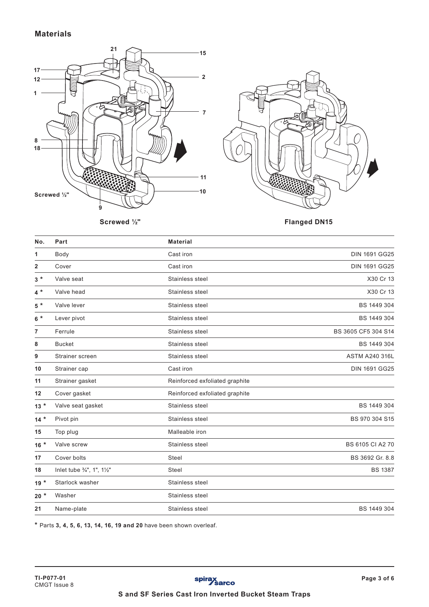# **Materials**





**Screwed ½" Flanged DN15**

| No.            | Part                       | <b>Material</b>                |                       |
|----------------|----------------------------|--------------------------------|-----------------------|
| 1              | Body                       | Cast iron                      | <b>DIN 1691 GG25</b>  |
| $\overline{2}$ | Cover                      | Cast iron                      | <b>DIN 1691 GG25</b>  |
| $3*$           | Valve seat                 | Stainless steel                | X30 Cr 13             |
| $4*$           | Valve head                 | Stainless steel                | X30 Cr 13             |
| $5$ $^{\star}$ | Valve lever                | Stainless steel                | BS 1449 304           |
| $6*$           | Lever pivot                | Stainless steel                | BS 1449 304           |
| $\overline{7}$ | Ferrule                    | Stainless steel                | BS 3605 CF5 304 S14   |
| 8              | <b>Bucket</b>              | Stainless steel                | BS 1449 304           |
| 9              | Strainer screen            | Stainless steel                | <b>ASTM A240 316L</b> |
| 10             | Strainer cap               | Cast iron                      | <b>DIN 1691 GG25</b>  |
| 11             | Strainer gasket            | Reinforced exfoliated graphite |                       |
| 12             | Cover gasket               | Reinforced exfoliated graphite |                       |
| $13*$          | Valve seat gasket          | Stainless steel                | BS 1449 304           |
| $14*$          | Pivot pin                  | Stainless steel                | BS 970 304 S15        |
| 15             | Top plug                   | Malleable iron                 |                       |
| $16*$          | Valve screw                | Stainless steel                | BS 6105 CI A2 70      |
| 17             | Cover bolts                | Steel                          | BS 3692 Gr. 8.8       |
| 18             | Inlet tube 3/4", 1", 11/2" | Steel                          | <b>BS 1387</b>        |
| $19*$          | Starlock washer            | Stainless steel                |                       |
| $20*$          | Washer                     | Stainless steel                |                       |
| 21             | Name-plate                 | Stainless steel                | BS 1449 304           |

**\*** Parts **3, 4, 5, 6, 13, 14, 16, 19 and 20** have been shown overleaf.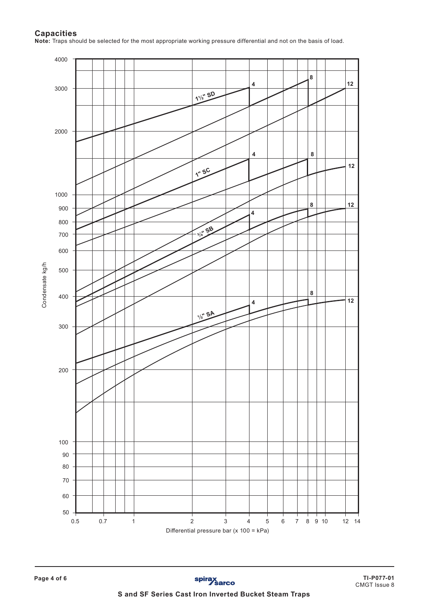## **Capacities**

**Note:** Traps should be selected for the most appropriate working pressure differential and not on the basis of load.

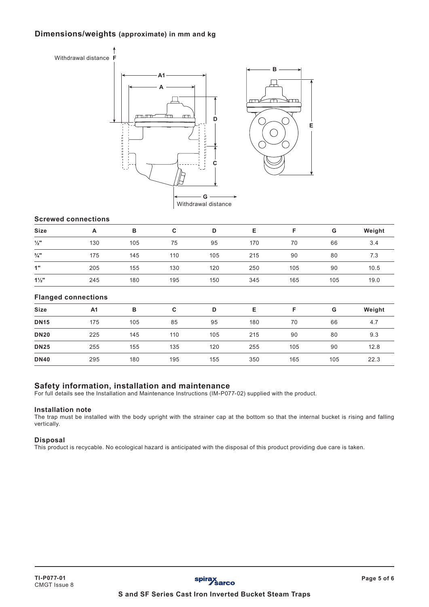# **Dimensions/weights (approximate) in mm and kg**



## **Screwed connections**

| <b>Size</b>     | A   | в   | C   | D   | Е   |     | G   | Weight |
|-----------------|-----|-----|-----|-----|-----|-----|-----|--------|
| $\frac{1}{2}$ " | 130 | 105 | 75  | 95  | 170 | 70  | 66  | 3.4    |
| $\frac{3}{4}$ " | 175 | 145 | 110 | 105 | 215 | 90  | 80  | 7.3    |
| 1"              | 205 | 155 | 130 | 120 | 250 | 105 | 90  | 10.5   |
| $1\frac{1}{2}$  | 245 | 180 | 195 | 150 | 345 | 165 | 105 | 19.0   |

## **Flanged connections**

| <b>Size</b> | A <sub>1</sub> | в   | C   | D   | Е   | Е   | G   | Weight |
|-------------|----------------|-----|-----|-----|-----|-----|-----|--------|
| <b>DN15</b> | 175            | 105 | 85  | 95  | 180 | 70  | 66  | 4.7    |
| <b>DN20</b> | 225            | 145 | 110 | 105 | 215 | 90  | 80  | 9.3    |
| <b>DN25</b> | 255            | 155 | 135 | 120 | 255 | 105 | 90  | 12.8   |
| <b>DN40</b> | 295            | 180 | 195 | 155 | 350 | 165 | 105 | 22.3   |

## **Safety information, installation and maintenance**

For full details see the Installation and Maintenance Instructions (IM-P077-02) supplied with the product.

### **Installation note**

The trap must be installed with the body upright with the strainer cap at the bottom so that the internal bucket is rising and falling vertically.

#### **Disposal**

This product is recycable. No ecological hazard is anticipated with the disposal of this product providing due care is taken.